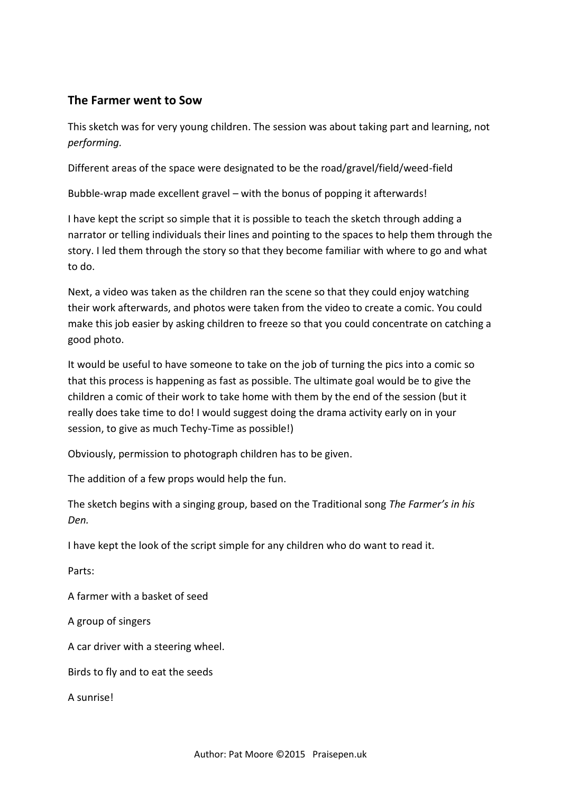#### **The Farmer went to Sow**

This sketch was for very young children. The session was about taking part and learning, not *performing.*

Different areas of the space were designated to be the road/gravel/field/weed-field

Bubble-wrap made excellent gravel – with the bonus of popping it afterwards!

I have kept the script so simple that it is possible to teach the sketch through adding a narrator or telling individuals their lines and pointing to the spaces to help them through the story. I led them through the story so that they become familiar with where to go and what to do.

Next, a video was taken as the children ran the scene so that they could enjoy watching their work afterwards, and photos were taken from the video to create a comic. You could make this job easier by asking children to freeze so that you could concentrate on catching a good photo.

It would be useful to have someone to take on the job of turning the pics into a comic so that this process is happening as fast as possible. The ultimate goal would be to give the children a comic of their work to take home with them by the end of the session (but it really does take time to do! I would suggest doing the drama activity early on in your session, to give as much Techy-Time as possible!)

Obviously, permission to photograph children has to be given.

The addition of a few props would help the fun.

The sketch begins with a singing group, based on the Traditional song *The Farmer's in his Den.*

I have kept the look of the script simple for any children who do want to read it.

Parts:

A farmer with a basket of seed

A group of singers

A car driver with a steering wheel.

Birds to fly and to eat the seeds

A sunrise!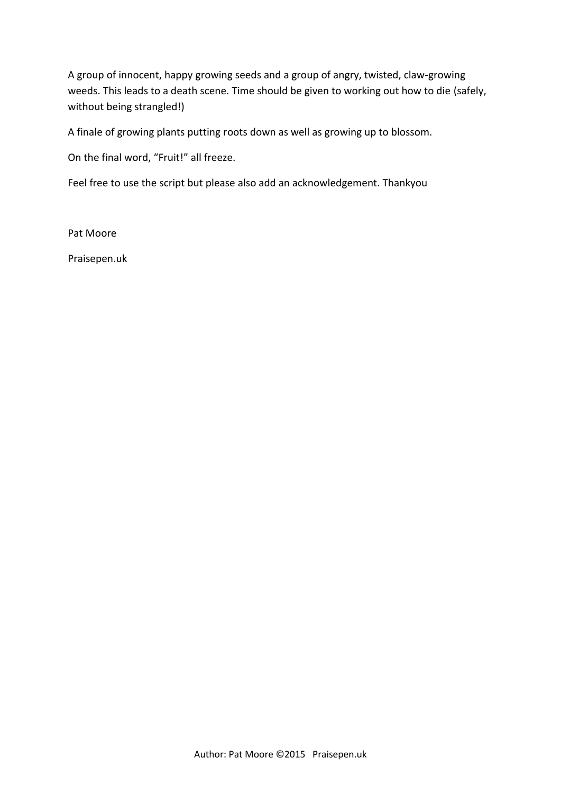A group of innocent, happy growing seeds and a group of angry, twisted, claw-growing weeds. This leads to a death scene. Time should be given to working out how to die (safely, without being strangled!)

A finale of growing plants putting roots down as well as growing up to blossom.

On the final word, "Fruit!" all freeze.

Feel free to use the script but please also add an acknowledgement. Thankyou

Pat Moore

Praisepen.uk